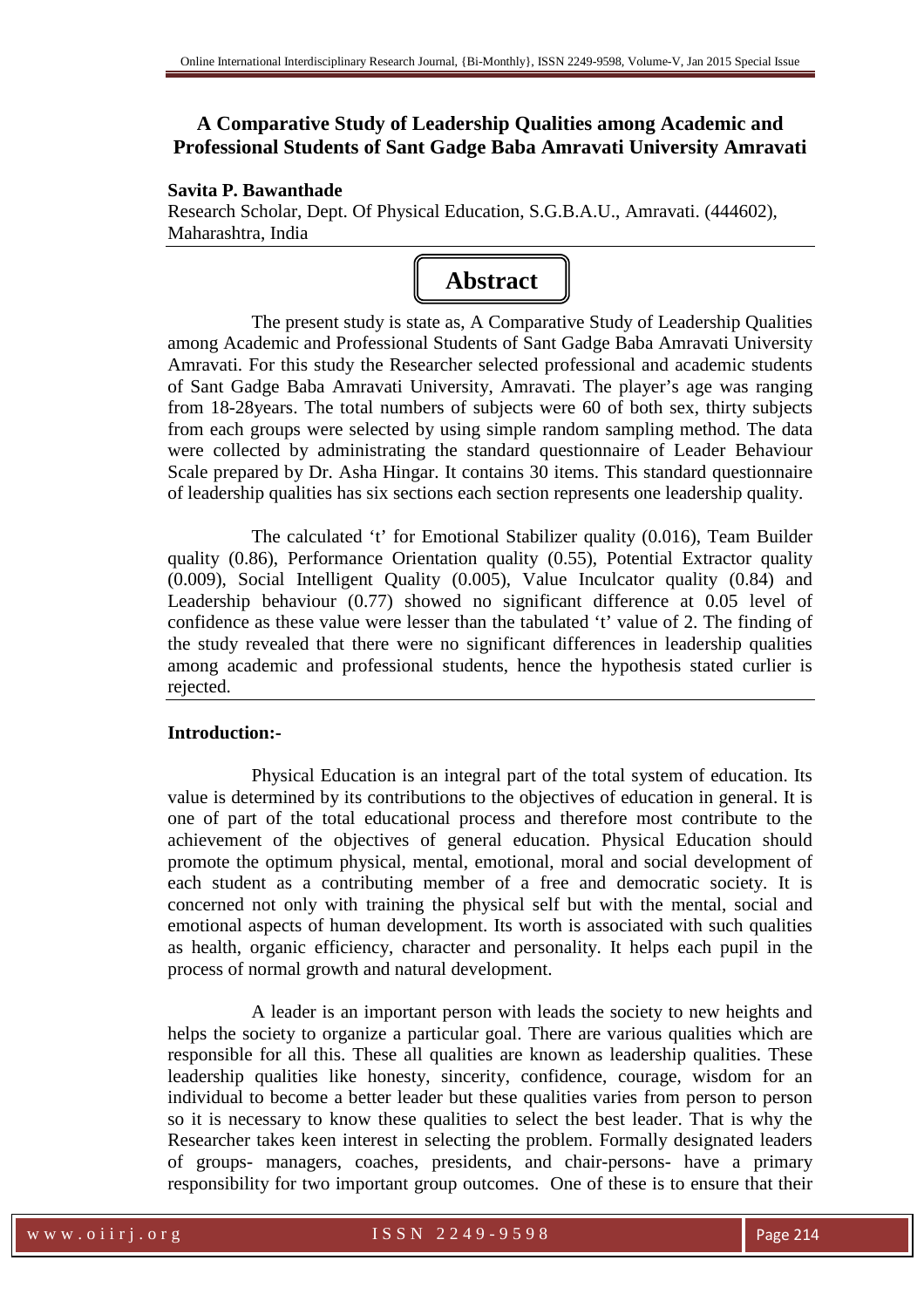# **A Comparative Study of Leadership Qualities among Academic and Professional Students of Sant Gadge Baba Amravati University Amravati**

## **Savita P. Bawanthade**

Research Scholar, Dept. Of Physical Education, S.G.B.A.U., Amravati. (444602), Maharashtra, India



The present study is state as, A Comparative Study of Leadership Qualities among Academic and Professional Students of Sant Gadge Baba Amravati University Amravati. For this study the Researcher selected professional and academic students of Sant Gadge Baba Amravati University, Amravati. The player's age was ranging from 18-28years. The total numbers of subjects were 60 of both sex, thirty subjects from each groups were selected by using simple random sampling method. The data were collected by administrating the standard questionnaire of Leader Behaviour Scale prepared by Dr. Asha Hingar. It contains 30 items. This standard questionnaire of leadership qualities has six sections each section represents one leadership quality.

The calculated 't' for Emotional Stabilizer quality (0.016), Team Builder quality (0.86), Performance Orientation quality (0.55), Potential Extractor quality (0.009), Social Intelligent Quality (0.005), Value Inculcator quality (0.84) and Leadership behaviour (0.77) showed no significant difference at 0.05 level of confidence as these value were lesser than the tabulated 't' value of 2. The finding of the study revealed that there were no significant differences in leadership qualities among academic and professional students, hence the hypothesis stated curlier is rejected.

## **Introduction:-**

Physical Education is an integral part of the total system of education. Its value is determined by its contributions to the objectives of education in general. It is one of part of the total educational process and therefore most contribute to the achievement of the objectives of general education. Physical Education should promote the optimum physical, mental, emotional, moral and social development of each student as a contributing member of a free and democratic society. It is concerned not only with training the physical self but with the mental, social and emotional aspects of human development. Its worth is associated with such qualities as health, organic efficiency, character and personality. It helps each pupil in the process of normal growth and natural development.

A leader is an important person with leads the society to new heights and helps the society to organize a particular goal. There are various qualities which are responsible for all this. These all qualities are known as leadership qualities. These leadership qualities like honesty, sincerity, confidence, courage, wisdom for an individual to become a better leader but these qualities varies from person to person so it is necessary to know these qualities to select the best leader. That is why the Researcher takes keen interest in selecting the problem. Formally designated leaders of groups- managers, coaches, presidents, and chair-persons- have a primary responsibility for two important group outcomes. One of these is to ensure that their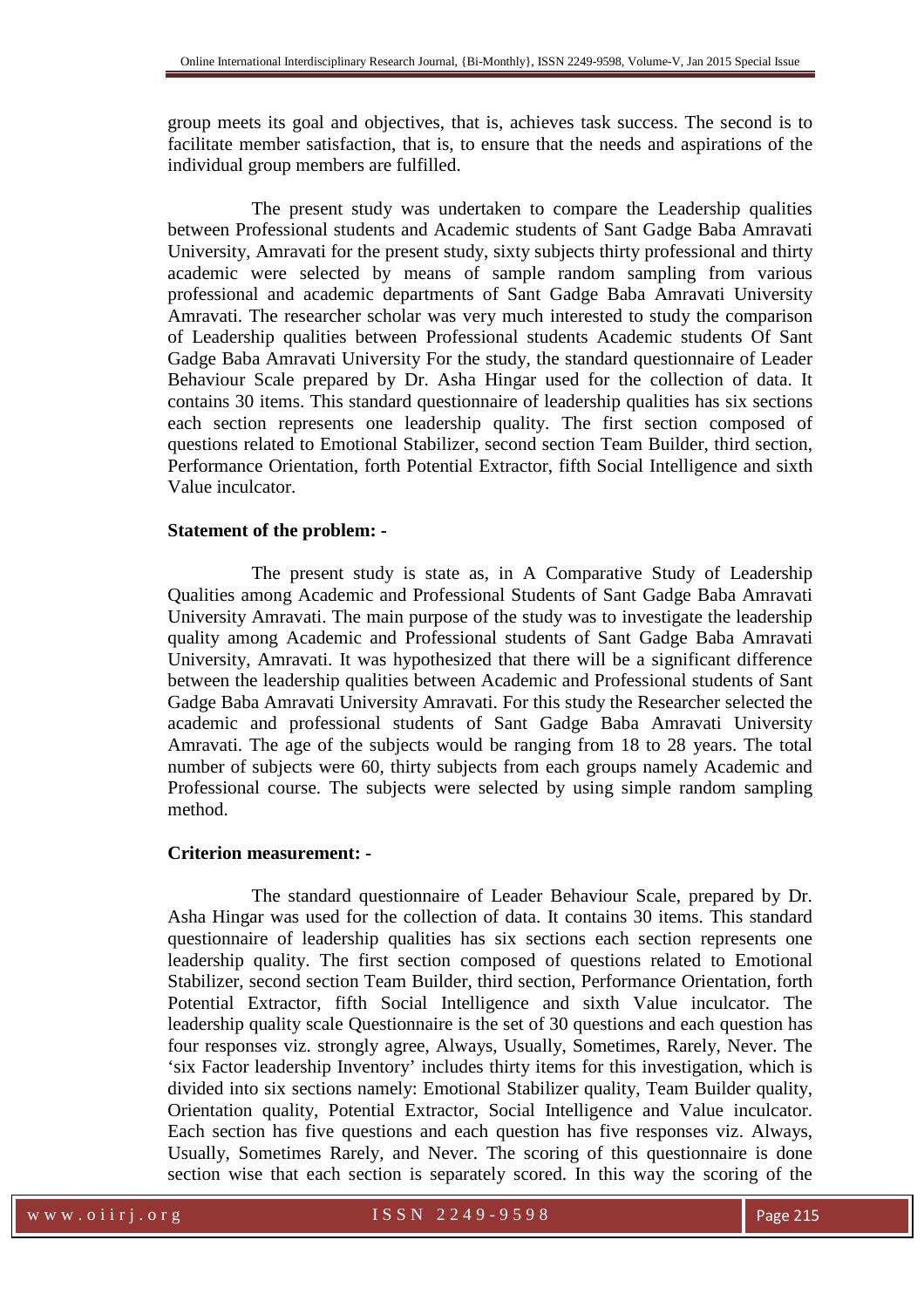group meets its goal and objectives, that is, achieves task success. The second is to facilitate member satisfaction, that is, to ensure that the needs and aspirations of the individual group members are fulfilled.

The present study was undertaken to compare the Leadership qualities between Professional students and Academic students of Sant Gadge Baba Amravati University, Amravati for the present study, sixty subjects thirty professional and thirty academic were selected by means of sample random sampling from various professional and academic departments of Sant Gadge Baba Amravati University Amravati. The researcher scholar was very much interested to study the comparison of Leadership qualities between Professional students Academic students Of Sant Gadge Baba Amravati University For the study, the standard questionnaire of Leader Behaviour Scale prepared by Dr. Asha Hingar used for the collection of data. It contains 30 items. This standard questionnaire of leadership qualities has six sections each section represents one leadership quality. The first section composed of questions related to Emotional Stabilizer, second section Team Builder, third section, Performance Orientation, forth Potential Extractor, fifth Social Intelligence and sixth Value inculcator.

### **Statement of the problem: -**

The present study is state as, in A Comparative Study of Leadership Qualities among Academic and Professional Students of Sant Gadge Baba Amravati University Amravati. The main purpose of the study was to investigate the leadership quality among Academic and Professional students of Sant Gadge Baba Amravati University, Amravati. It was hypothesized that there will be a significant difference between the leadership qualities between Academic and Professional students of Sant Gadge Baba Amravati University Amravati. For this study the Researcher selected the academic and professional students of Sant Gadge Baba Amravati University Amravati. The age of the subjects would be ranging from 18 to 28 years. The total number of subjects were 60, thirty subjects from each groups namely Academic and Professional course. The subjects were selected by using simple random sampling method.

## **Criterion measurement: -**

The standard questionnaire of Leader Behaviour Scale, prepared by Dr. Asha Hingar was used for the collection of data. It contains 30 items. This standard questionnaire of leadership qualities has six sections each section represents one leadership quality. The first section composed of questions related to Emotional Stabilizer, second section Team Builder, third section, Performance Orientation, forth Potential Extractor, fifth Social Intelligence and sixth Value inculcator. The leadership quality scale Questionnaire is the set of 30 questions and each question has four responses viz. strongly agree, Always, Usually, Sometimes, Rarely, Never. The 'six Factor leadership Inventory' includes thirty items for this investigation, which is divided into six sections namely: Emotional Stabilizer quality, Team Builder quality, Orientation quality, Potential Extractor, Social Intelligence and Value inculcator. Each section has five questions and each question has five responses viz. Always, Usually, Sometimes Rarely, and Never. The scoring of this questionnaire is done section wise that each section is separately scored. In this way the scoring of the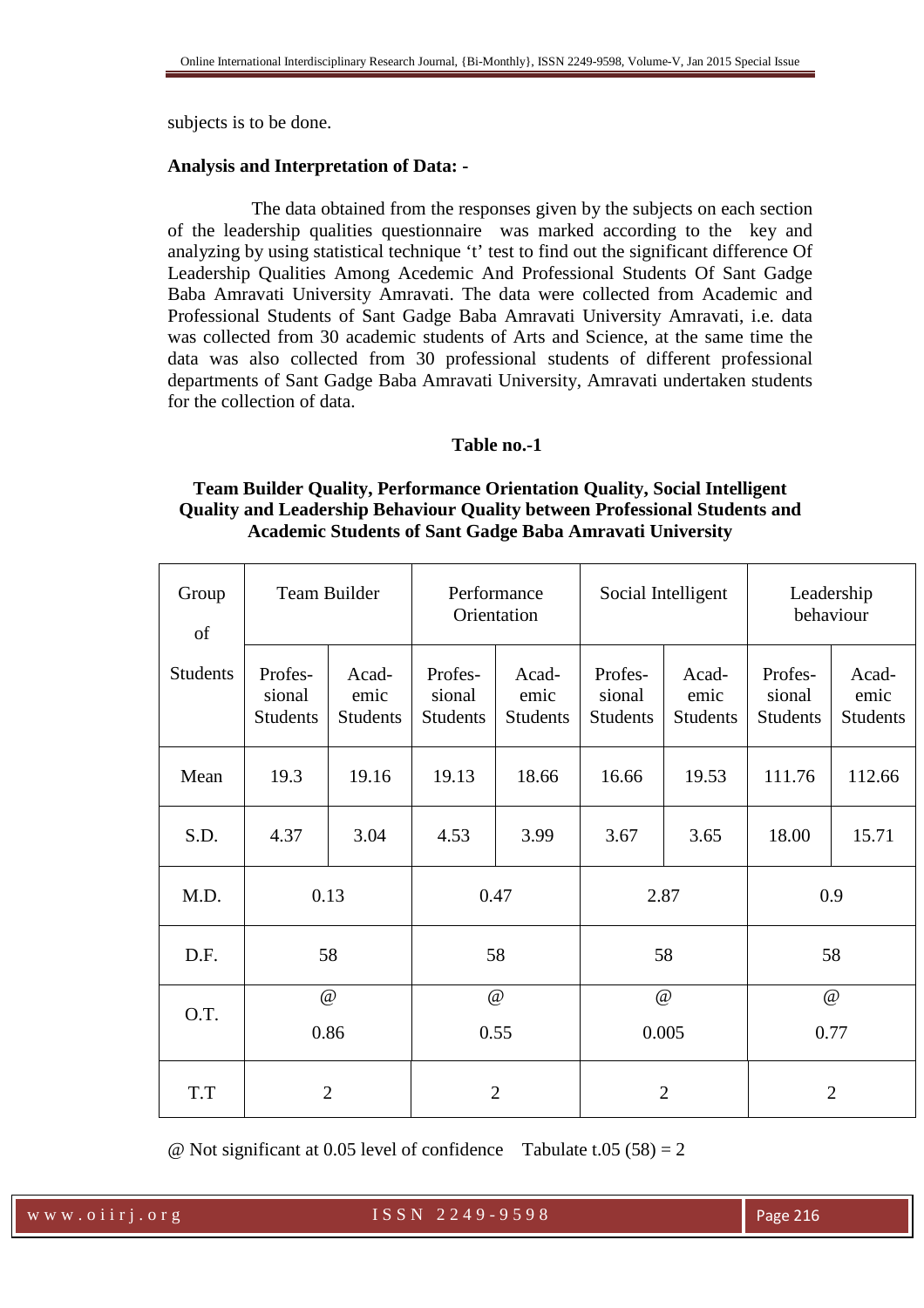subjects is to be done.

## **Analysis and Interpretation of Data: -**

The data obtained from the responses given by the subjects on each section of the leadership qualities questionnaire was marked according to the key and analyzing by using statistical technique 't' test to find out the significant difference Of Leadership Qualities Among Acedemic And Professional Students Of Sant Gadge Baba Amravati University Amravati. The data were collected from Academic and Professional Students of Sant Gadge Baba Amravati University Amravati, i.e. data was collected from 30 academic students of Arts and Science, at the same time the data was also collected from 30 professional students of different professional departments of Sant Gadge Baba Amravati University, Amravati undertaken students for the collection of data.

## **Table no.-1**

# **Team Builder Quality, Performance Orientation Quality, Social Intelligent Quality and Leadership Behaviour Quality between Professional Students and Academic Students of Sant Gadge Baba Amravati University**

| Group<br>of     | Team Builder                         |                                  | Performance<br>Orientation           |                                  | Social Intelligent                   |                                  | Leadership<br>behaviour              |                                  |
|-----------------|--------------------------------------|----------------------------------|--------------------------------------|----------------------------------|--------------------------------------|----------------------------------|--------------------------------------|----------------------------------|
| <b>Students</b> | Profes-<br>sional<br><b>Students</b> | Acad-<br>emic<br><b>Students</b> | Profes-<br>sional<br><b>Students</b> | Acad-<br>emic<br><b>Students</b> | Profes-<br>sional<br><b>Students</b> | Acad-<br>emic<br><b>Students</b> | Profes-<br>sional<br><b>Students</b> | Acad-<br>emic<br><b>Students</b> |
| Mean            | 19.3                                 | 19.16                            | 19.13                                | 18.66                            | 16.66                                | 19.53                            | 111.76                               | 112.66                           |
| S.D.            | 4.37                                 | 3.04                             | 4.53                                 | 3.99                             | 3.67                                 | 3.65                             | 18.00                                | 15.71                            |
| M.D.            | 0.13                                 |                                  | 0.47                                 |                                  | 2.87                                 |                                  | 0.9                                  |                                  |
| D.F.            | 58                                   |                                  | 58                                   |                                  | 58                                   |                                  | 58                                   |                                  |
| O.T.            | @<br>0.86                            |                                  | $\omega$<br>0.55                     |                                  | @<br>0.005                           |                                  | $\omega$<br>0.77                     |                                  |
| T.T             | $\overline{2}$                       |                                  | $\overline{2}$                       |                                  | $\overline{2}$                       |                                  | $\overline{2}$                       |                                  |

@ Not significant at 0.05 level of confidence Tabulate t.05 (58) = 2

w w w . o i i r j . o r g and the set of set of S S N 2 2 4 9 - 9 5 9 8 Page 216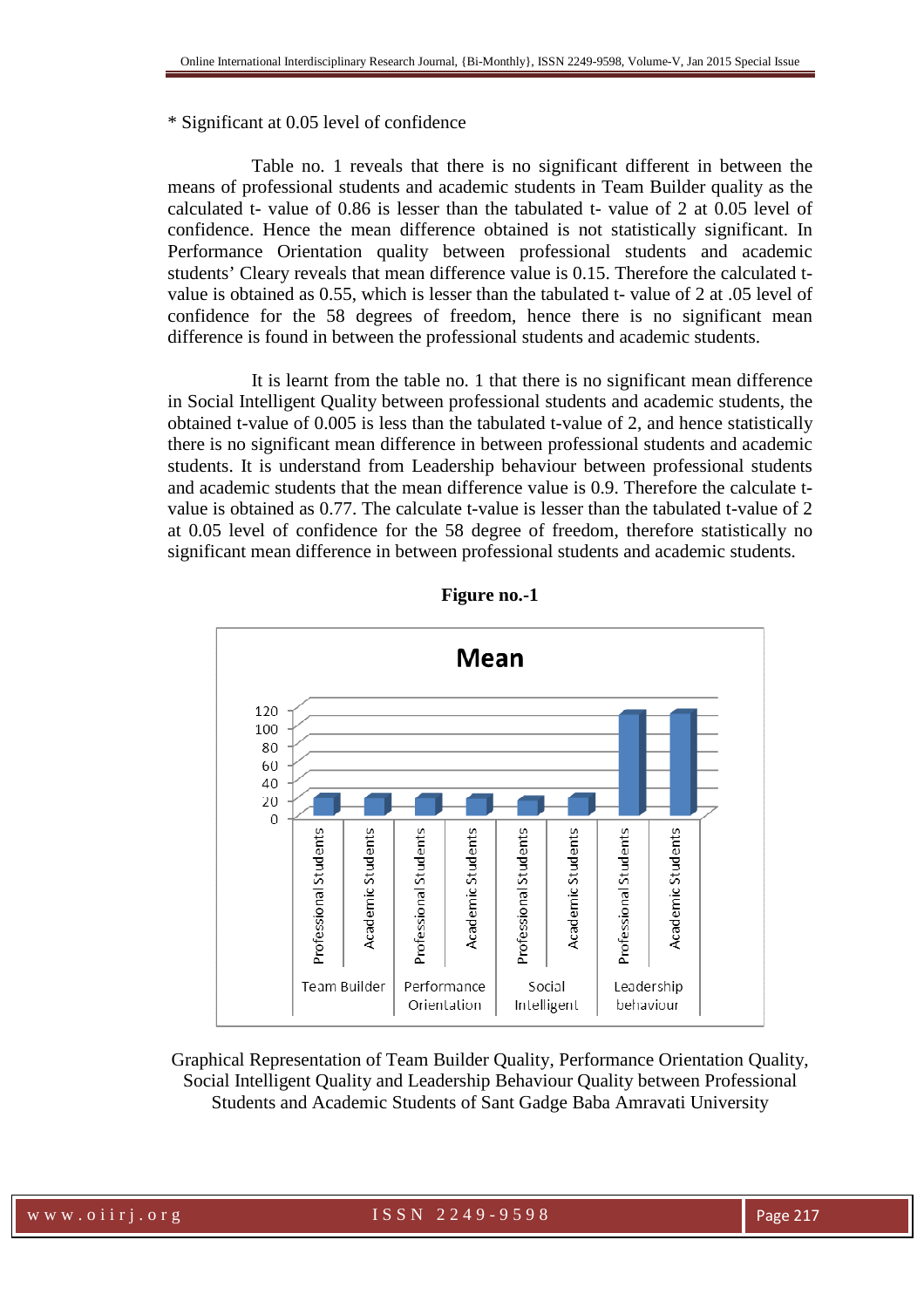## \* Significant at 0.05 level of confidence

Table no. 1 reveals that there is no significant different in between the means of professional students and academic students in Team Builder quality as the calculated t- value of 0.86 is lesser than the tabulated t- value of 2 at 0.05 level of confidence. Hence the mean difference obtained is not statistically significant. In Performance Orientation quality between professional students and academic students' Cleary reveals that mean difference value is 0.15. Therefore the calculated tvalue is obtained as 0.55, which is lesser than the tabulated t- value of 2 at .05 level of confidence for the 58 degrees of freedom, hence there is no significant mean difference is found in between the professional students and academic students.

It is learnt from the table no. 1 that there is no significant mean difference in Social Intelligent Quality between professional students and academic students, the obtained t-value of 0.005 is less than the tabulated t-value of 2, and hence statistically there is no significant mean difference in between professional students and academic students. It is understand from Leadership behaviour between professional students and academic students that the mean difference value is 0.9. Therefore the calculate tvalue is obtained as 0.77. The calculate t-value is lesser than the tabulated t-value of 2 at 0.05 level of confidence for the 58 degree of freedom, therefore statistically no significant mean difference in between professional students and academic students.



**Figure no.-1** 

Graphical Representation of Team Builder Quality, Performance Orientation Quality, Social Intelligent Quality and Leadership Behaviour Quality between Professional Students and Academic Students of Sant Gadge Baba Amravati University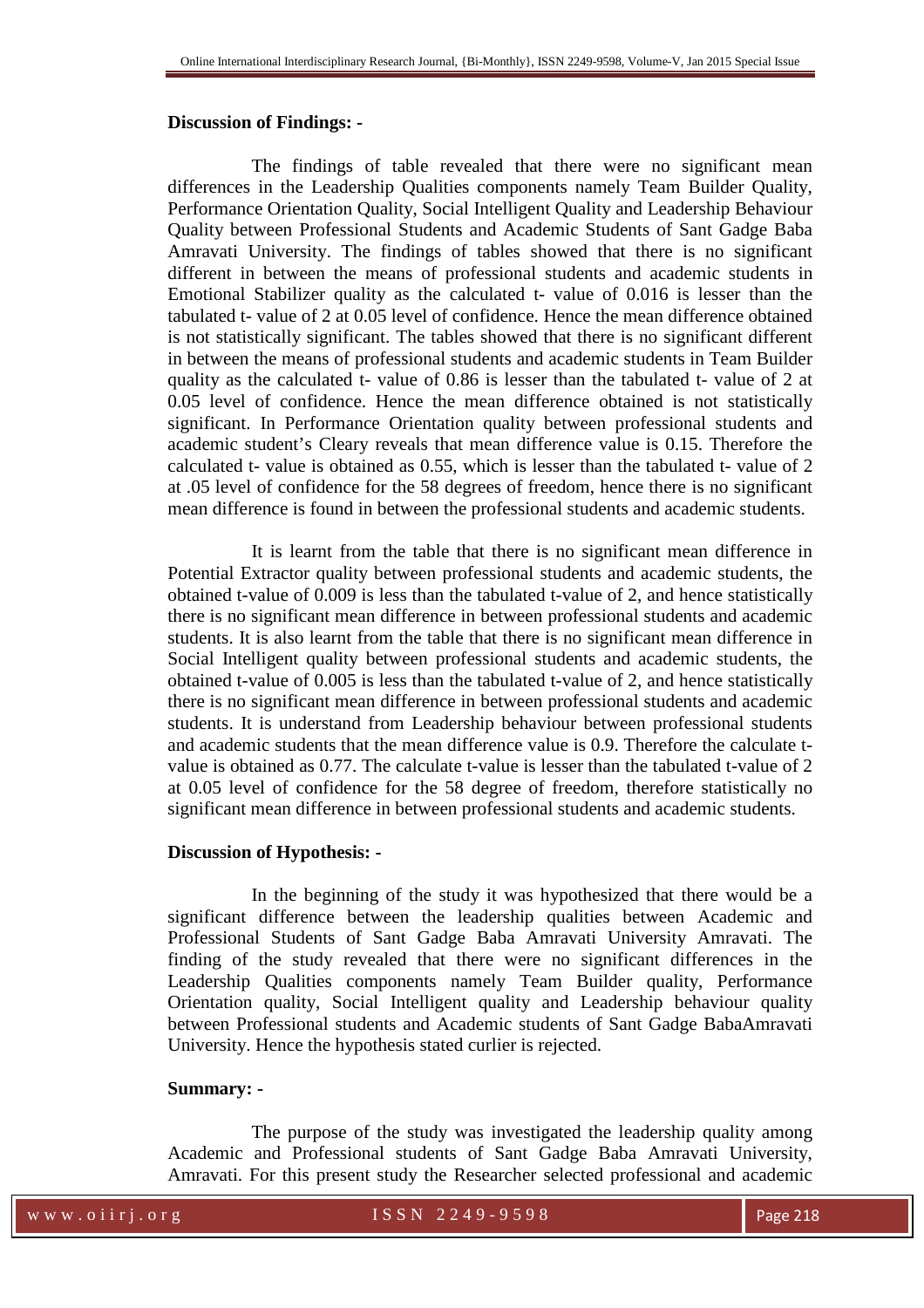#### **Discussion of Findings: -**

The findings of table revealed that there were no significant mean differences in the Leadership Qualities components namely Team Builder Quality, Performance Orientation Quality, Social Intelligent Quality and Leadership Behaviour Quality between Professional Students and Academic Students of Sant Gadge Baba Amravati University. The findings of tables showed that there is no significant different in between the means of professional students and academic students in Emotional Stabilizer quality as the calculated t- value of 0.016 is lesser than the tabulated t- value of 2 at 0.05 level of confidence. Hence the mean difference obtained is not statistically significant. The tables showed that there is no significant different in between the means of professional students and academic students in Team Builder quality as the calculated t- value of 0.86 is lesser than the tabulated t- value of 2 at 0.05 level of confidence. Hence the mean difference obtained is not statistically significant. In Performance Orientation quality between professional students and academic student's Cleary reveals that mean difference value is 0.15. Therefore the calculated t- value is obtained as 0.55, which is lesser than the tabulated t- value of 2 at .05 level of confidence for the 58 degrees of freedom, hence there is no significant mean difference is found in between the professional students and academic students.

It is learnt from the table that there is no significant mean difference in Potential Extractor quality between professional students and academic students, the obtained t-value of 0.009 is less than the tabulated t-value of 2, and hence statistically there is no significant mean difference in between professional students and academic students. It is also learnt from the table that there is no significant mean difference in Social Intelligent quality between professional students and academic students, the obtained t-value of 0.005 is less than the tabulated t-value of 2, and hence statistically there is no significant mean difference in between professional students and academic students. It is understand from Leadership behaviour between professional students and academic students that the mean difference value is 0.9. Therefore the calculate tvalue is obtained as 0.77. The calculate t-value is lesser than the tabulated t-value of 2 at 0.05 level of confidence for the 58 degree of freedom, therefore statistically no significant mean difference in between professional students and academic students.

#### **Discussion of Hypothesis: -**

In the beginning of the study it was hypothesized that there would be a significant difference between the leadership qualities between Academic and Professional Students of Sant Gadge Baba Amravati University Amravati. The finding of the study revealed that there were no significant differences in the Leadership Qualities components namely Team Builder quality, Performance Orientation quality, Social Intelligent quality and Leadership behaviour quality between Professional students and Academic students of Sant Gadge BabaAmravati University. Hence the hypothesis stated curlier is rejected.

#### **Summary: -**

The purpose of the study was investigated the leadership quality among Academic and Professional students of Sant Gadge Baba Amravati University, Amravati. For this present study the Researcher selected professional and academic

w w w . o i i r j . o r g and set of the S S N 2 2 4 9 - 9 5 9 8 Page 218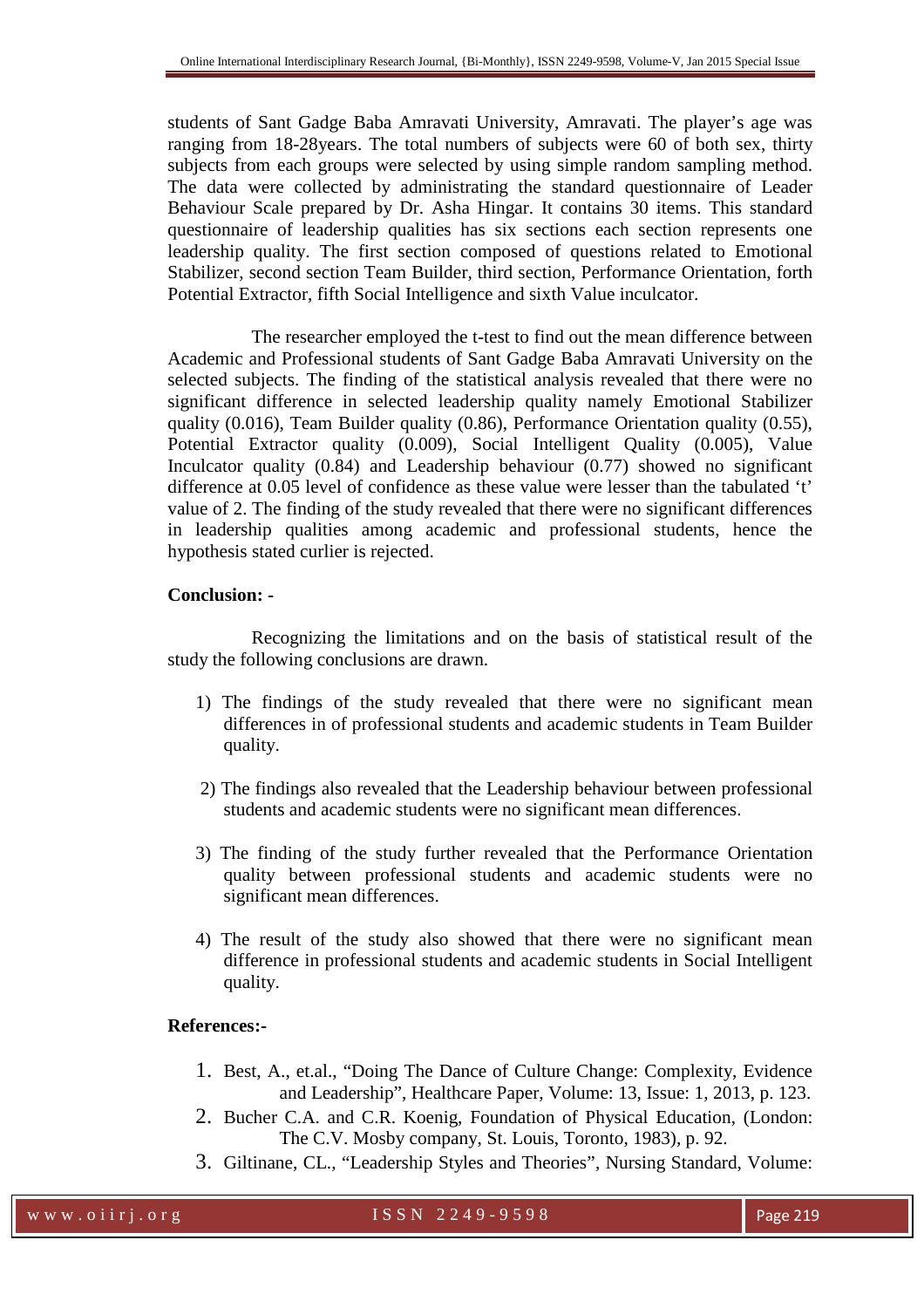students of Sant Gadge Baba Amravati University, Amravati. The player's age was ranging from 18-28years. The total numbers of subjects were 60 of both sex, thirty subjects from each groups were selected by using simple random sampling method. The data were collected by administrating the standard questionnaire of Leader Behaviour Scale prepared by Dr. Asha Hingar. It contains 30 items. This standard questionnaire of leadership qualities has six sections each section represents one leadership quality. The first section composed of questions related to Emotional Stabilizer, second section Team Builder, third section, Performance Orientation, forth Potential Extractor, fifth Social Intelligence and sixth Value inculcator.

The researcher employed the t-test to find out the mean difference between Academic and Professional students of Sant Gadge Baba Amravati University on the selected subjects. The finding of the statistical analysis revealed that there were no significant difference in selected leadership quality namely Emotional Stabilizer quality (0.016), Team Builder quality (0.86), Performance Orientation quality (0.55), Potential Extractor quality (0.009), Social Intelligent Quality (0.005), Value Inculcator quality (0.84) and Leadership behaviour (0.77) showed no significant difference at 0.05 level of confidence as these value were lesser than the tabulated 't' value of 2. The finding of the study revealed that there were no significant differences in leadership qualities among academic and professional students, hence the hypothesis stated curlier is rejected.

## **Conclusion: -**

Recognizing the limitations and on the basis of statistical result of the study the following conclusions are drawn.

- 1) The findings of the study revealed that there were no significant mean differences in of professional students and academic students in Team Builder quality.
- 2) The findings also revealed that the Leadership behaviour between professional students and academic students were no significant mean differences.
- 3) The finding of the study further revealed that the Performance Orientation quality between professional students and academic students were no significant mean differences.
- 4) The result of the study also showed that there were no significant mean difference in professional students and academic students in Social Intelligent quality.

## **References:-**

- 1. Best, A., et.al., "Doing The Dance of Culture Change: Complexity, Evidence and Leadership", Healthcare Paper, Volume: 13, Issue: 1, 2013, p. 123.
- 2. Bucher C.A. and C.R. Koenig, Foundation of Physical Education, (London: The C.V. Mosby company, St. Louis, Toronto, 1983), p. 92.
- 3. Giltinane, CL., "Leadership Styles and Theories", Nursing Standard, Volume: